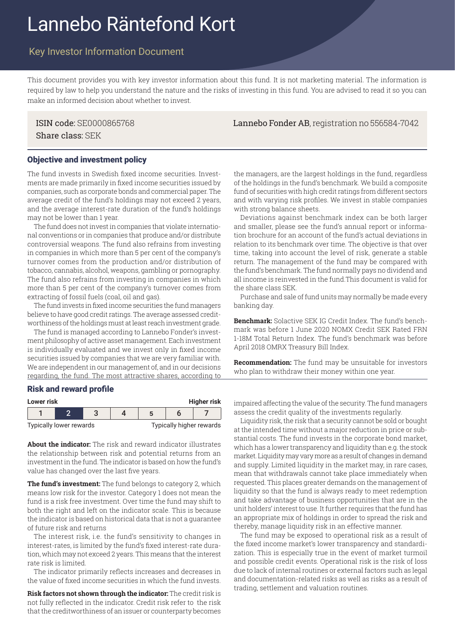# Lannebo Räntefond Kort

# Key Investor Information Document

This document provides you with key investor information about this fund. It is not marketing material. The information is required by law to help you understand the nature and the risks of investing in this fund. You are advised to read it so you can make an informed decision about whether to invest.

ISIN code: SE0000865768 Lannebo Fonder AB, registration no 556584-7042 Share class: SEK

### Objective and investment policy

The fund invests in Swedish fixed income securities. Investments are made primarily in fixed income securities issued by companies, such as corporate bonds and commercial paper. The average credit of the fund's holdings may not exceed 2 years, and the average interest-rate duration of the fund's holdings may not be lower than 1 year.

The fund does not invest in companies that violate international conventions or in companies that produce and/or distribute controversial weapons. The fund also refrains from investing in companies in which more than 5 per cent of the company's turnover comes from the production and/or distribution of tobacco, cannabis, alcohol, weapons, gambling or pornography. The fund also refrains from investing in companies in which more than 5 per cent of the company's turnover comes from extracting of fossil fuels (coal, oil and gas).

The fund invests in fixed income securities the fund managers believe to have good credit ratings. The average assessed creditworthiness of the holdings must at least reach investment grade.

The fund is managed according to Lannebo Fonder's investment philosophy of active asset management. Each investment is individually evaluated and we invest only in fixed income securities issued by companies that we are very familiar with. We are independent in our management of, and in our decisions regarding, the fund. The most attractive shares, according to

#### Risk and reward profile

| Lower risk              |  |  |  |  |  | <b>Higher risk</b>       |
|-------------------------|--|--|--|--|--|--------------------------|
|                         |  |  |  |  |  |                          |
| Typically lower rewards |  |  |  |  |  | Typically higher rewards |

**About the indicator:** The risk and reward indicator illustrates the relationship between risk and potential returns from an investment in the fund. The indicator is based on how the fund's value has changed over the last five years.

**The fund's investment:** The fund belongs to category 2, which means low risk for the investor. Category 1 does not mean the fund is a risk free investment. Over time the fund may shift to both the right and left on the indicator scale. This is because the indicator is based on historical data that is not a guarantee of future risk and returns

The interest risk, i.e. the fund's sensitivity to changes in interest-rates, is limited by the fund's fixed interest-rate duration, which may not exceed 2 years. This means that the interest rate risk is limited.

The indicator primarily reflects increases and decreases in the value of fixed income securities in which the fund invests.

**Risk factors not shown through the indicator:** The credit risk is not fully reflected in the indicator. Credit risk refer to the risk that the creditworthiness of an issuer or counterparty becomes the managers, are the largest holdings in the fund, regardless of the holdings in the fund's benchmark. We build a composite fund of securities with high credit ratings from different sectors and with varying risk profiles. We invest in stable companies with strong balance sheets.

Deviations against benchmark index can be both larger and smaller, please see the fund's annual report or information brochure for an account of the fund's actual deviations in relation to its benchmark over time. The objective is that over time, taking into account the level of risk, generate a stable return. The management of the fund may be compared with the fund's benchmark. The fund normally pays no dividend and all income is reinvested in the fund.This document is valid for the share class SEK.

Purchase and sale of fund units may normally be made every banking day.

**Benchmark:** Solactive SEK IG Credit Index. The fund's benchmark was before 1 June 2020 NOMX Credit SEK Rated FRN 1-18M Total Return Index. The fund's benchmark was before April 2018 OMRX Treasury Bill Index.

**Recommendation:** The fund may be unsuitable for investors who plan to withdraw their money within one year.

impaired affecting the value of the security. The fund managers assess the credit quality of the investments regularly.

Liquidity risk, the risk that a security cannot be sold or bought at the intended time without a major reduction in price or substantial costs. The fund invests in the corporate bond market, which has a lower transparency and liquidity than e.g. the stock market. Liquidity may vary more as a result of changes in demand and supply. Limited liquidity in the market may, in rare cases, mean that withdrawals cannot take place immediately when requested. This places greater demands on the management of liquidity so that the fund is always ready to meet redemption and take advantage of business opportunities that are in the unit holders' interest to use. It further requires that the fund has an appropriate mix of holdings in order to spread the risk and thereby, manage liquidity risk in an effective manner.

The fund may be exposed to operational risk as a result of the fixed income market's lower transparency and standardization. This is especially true in the event of market turmoil and possible credit events. Operational risk is the risk of loss due to lack of internal routines or external factors such as legal and documentation-related risks as well as risks as a result of trading, settlement and valuation routines.